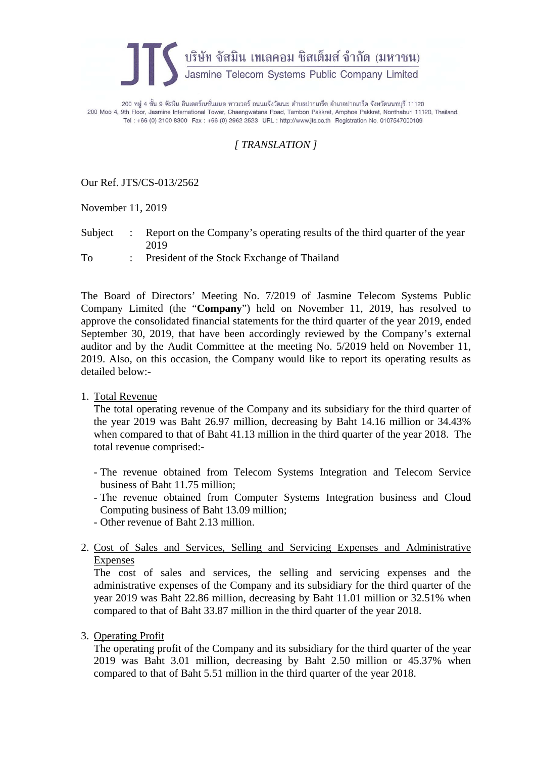

200 หมู่ 4 ชั้น 9 จัสมิน อินเตอร์เนชั่นแนล ทาวเวอร์ ถนนแจ้งวัฒนะ ตำบลปากเกร็ด อำเภอปากเกร็ด จังหวัดนนทบุรี 11120 200 Moo 4, 9th Floor, Jasmine International Tower, Chaengwatana Road, Tambon Pakkret, Amphoe Pakkret, Nonthaburi 11120, Thailand. Tel: +66 (0) 2100 8300 Fax: +66 (0) 2962 2523 URL: http://www.jts.co.th Registration No. 0107547000109

## *[ TRANSLATION ]*

Our Ref. JTS/CS-013/2562

November 11, 2019

Subject : Report on the Company's operating results of the third quarter of the year 2019

To : President of the Stock Exchange of Thailand

The Board of Directors' Meeting No. 7/2019 of Jasmine Telecom Systems Public Company Limited (the "**Company**") held on November 11, 2019, has resolved to approve the consolidated financial statements for the third quarter of the year 2019, ended September 30, 2019, that have been accordingly reviewed by the Company's external auditor and by the Audit Committee at the meeting No. 5/2019 held on November 11, 2019. Also, on this occasion, the Company would like to report its operating results as detailed below:-

1. Total Revenue

The total operating revenue of the Company and its subsidiary for the third quarter of the year 2019 was Baht 26.97 million, decreasing by Baht 14.16 million or 34.43% when compared to that of Baht 41.13 million in the third quarter of the year 2018. The total revenue comprised:-

- The revenue obtained from Telecom Systems Integration and Telecom Service business of Baht 11.75 million;
- The revenue obtained from Computer Systems Integration business and Cloud Computing business of Baht 13.09 million;
- Other revenue of Baht 2.13 million.
- 2. Cost of Sales and Services, Selling and Servicing Expenses and Administrative Expenses

The cost of sales and services, the selling and servicing expenses and the administrative expenses of the Company and its subsidiary for the third quarter of the year 2019 was Baht 22.86 million, decreasing by Baht 11.01 million or 32.51% when compared to that of Baht 33.87 million in the third quarter of the year 2018.

3. Operating Profit

The operating profit of the Company and its subsidiary for the third quarter of the year 2019 was Baht 3.01 million, decreasing by Baht 2.50 million or 45.37% when compared to that of Baht 5.51 million in the third quarter of the year 2018.